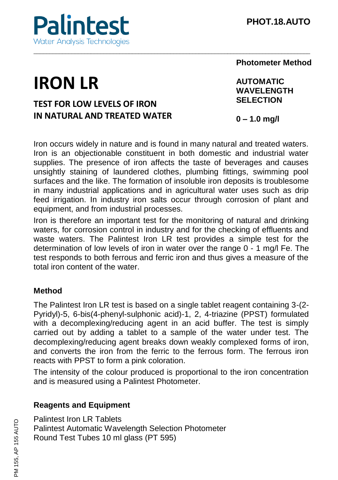

#### **Photometer Method**

# **IRON LR**

## **TEST FOR LOW LEVELS OF IRON IN NATURAL AND TREATED WATER**

**AUTOMATIC WAVELENGTH SELECTION**

**0 – 1.0 mg/l**

Iron occurs widely in nature and is found in many natural and treated waters. Iron is an objectionable constituent in both domestic and industrial water supplies. The presence of iron affects the taste of beverages and causes unsightly staining of laundered clothes, plumbing fittings, swimming pool surfaces and the like. The formation of insoluble iron deposits is troublesome in many industrial applications and in agricultural water uses such as drip feed irrigation. In industry iron salts occur through corrosion of plant and equipment, and from industrial processes.

\_\_\_\_\_\_\_\_\_\_\_\_\_\_\_\_\_\_\_\_\_\_\_\_\_\_\_\_\_\_\_\_\_\_\_\_\_\_\_\_\_\_\_\_\_\_\_\_\_\_\_\_\_\_\_\_\_\_\_\_\_\_\_\_\_\_\_\_\_\_\_\_\_\_\_\_\_\_\_\_\_\_\_\_\_\_\_

Iron is therefore an important test for the monitoring of natural and drinking waters, for corrosion control in industry and for the checking of effluents and waste waters. The Palintest Iron LR test provides a simple test for the determination of low levels of iron in water over the range 0 - 1 mg/l Fe. The test responds to both ferrous and ferric iron and thus gives a measure of the total iron content of the water.

#### **Method**

The Palintest Iron LR test is based on a single tablet reagent containing 3-(2- Pyridyl)-5, 6-bis(4-phenyl-sulphonic acid)-1, 2, 4-triazine (PPST) formulated with a decomplexing/reducing agent in an acid buffer. The test is simply carried out by adding a tablet to a sample of the water under test. The decomplexing/reducing agent breaks down weakly complexed forms of iron, and converts the iron from the ferric to the ferrous form. The ferrous iron reacts with PPST to form a pink coloration.

The intensity of the colour produced is proportional to the iron concentration and is measured using a Palintest Photometer.

### **Reagents and Equipment**

Palintest Iron LR Tablets Palintest Automatic Wavelength Selection Photometer Round Test Tubes 10 ml glass (PT 595)

PM 155. AP 155 AUTO PM 155, AP 155 AUTO